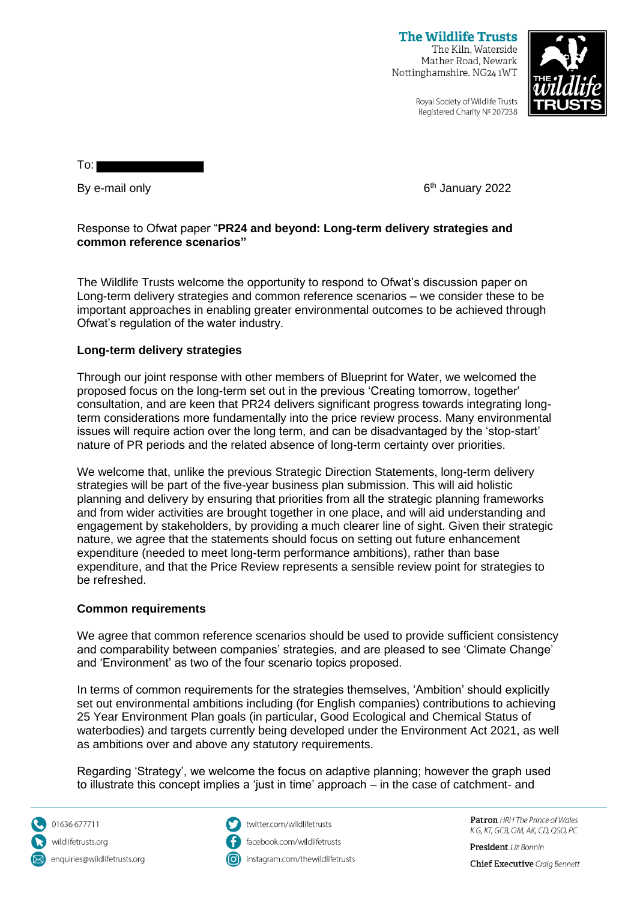**The Wildlife Trusts** The Kiln, Waterside Mather Road, Newark Nottinghamshire, NG24 1WT



Royal Society of Wildlife Trusts Registered Charity Nº 207238

To:

By e-mail only

6<sup>th</sup> January 2022

## Response to Ofwat paper "**PR24 and beyond: Long-term delivery strategies and common reference scenarios"**

The Wildlife Trusts welcome the opportunity to respond to Ofwat's discussion paper on Long-term delivery strategies and common reference scenarios – we consider these to be important approaches in enabling greater environmental outcomes to be achieved through Ofwat's regulation of the water industry.

# **Long-term delivery strategies**

Through our joint response with other members of Blueprint for Water, we welcomed the proposed focus on the long-term set out in the previous 'Creating tomorrow, together' consultation, and are keen that PR24 delivers significant progress towards integrating longterm considerations more fundamentally into the price review process. Many environmental issues will require action over the long term, and can be disadvantaged by the 'stop-start' nature of PR periods and the related absence of long-term certainty over priorities.

We welcome that, unlike the previous Strategic Direction Statements, long-term delivery strategies will be part of the five-year business plan submission. This will aid holistic planning and delivery by ensuring that priorities from all the strategic planning frameworks and from wider activities are brought together in one place, and will aid understanding and engagement by stakeholders, by providing a much clearer line of sight. Given their strategic nature, we agree that the statements should focus on setting out future enhancement expenditure (needed to meet long-term performance ambitions), rather than base expenditure, and that the Price Review represents a sensible review point for strategies to be refreshed.

## **Common requirements**

We agree that common reference scenarios should be used to provide sufficient consistency and comparability between companies' strategies, and are pleased to see 'Climate Change' and 'Environment' as two of the four scenario topics proposed.

In terms of common requirements for the strategies themselves, 'Ambition' should explicitly set out environmental ambitions including (for English companies) contributions to achieving 25 Year Environment Plan goals (in particular, Good Ecological and Chemical Status of waterbodies) and targets currently being developed under the Environment Act 2021, as well as ambitions over and above any statutory requirements.

Regarding 'Strategy', we welcome the focus on adaptive planning; however the graph used to illustrate this concept implies a 'just in time' approach – in the case of catchment- and

01636 677711 wildlifetrusts.org enquiries@wildlifetrusts.org



twitter.com/wildlifetrusts facebook.com/wildlifetrusts instagram.com/thewildlifetrusts Patron HRH The Prince of Wales K G, KT, GCB, OM, AK, CD, QSO, PC

President Liz Bonnin

**Chief Executive** Craia Bennett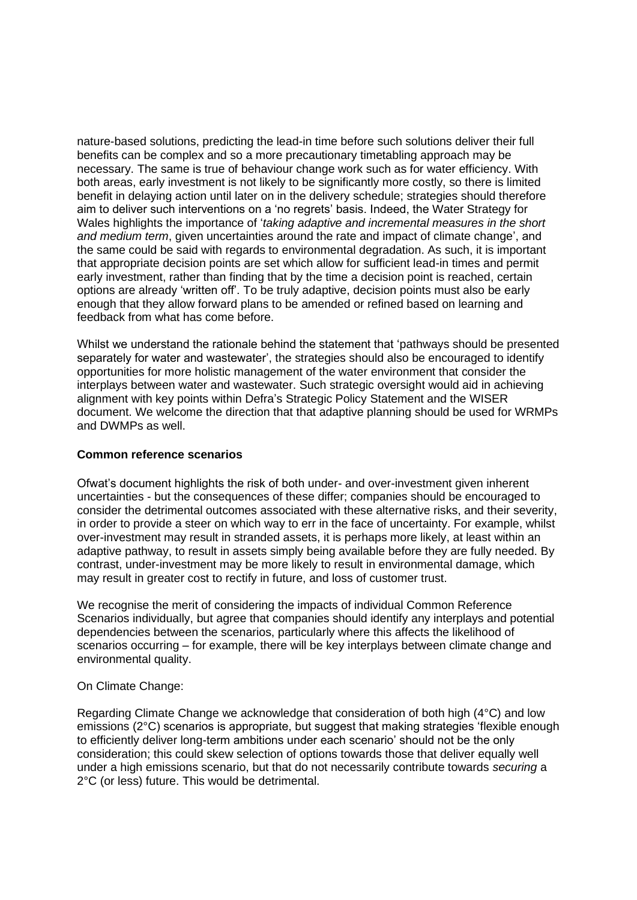nature-based solutions, predicting the lead-in time before such solutions deliver their full benefits can be complex and so a more precautionary timetabling approach may be necessary. The same is true of behaviour change work such as for water efficiency. With both areas, early investment is not likely to be significantly more costly, so there is limited benefit in delaying action until later on in the delivery schedule; strategies should therefore aim to deliver such interventions on a 'no regrets' basis. Indeed, the Water Strategy for Wales highlights the importance of '*taking adaptive and incremental measures in the short and medium term*, given uncertainties around the rate and impact of climate change', and the same could be said with regards to environmental degradation. As such, it is important that appropriate decision points are set which allow for sufficient lead-in times and permit early investment, rather than finding that by the time a decision point is reached, certain options are already 'written off'. To be truly adaptive, decision points must also be early enough that they allow forward plans to be amended or refined based on learning and feedback from what has come before.

Whilst we understand the rationale behind the statement that 'pathways should be presented separately for water and wastewater', the strategies should also be encouraged to identify opportunities for more holistic management of the water environment that consider the interplays between water and wastewater. Such strategic oversight would aid in achieving alignment with key points within Defra's Strategic Policy Statement and the WISER document. We welcome the direction that that adaptive planning should be used for WRMPs and DWMPs as well.

#### **Common reference scenarios**

Ofwat's document highlights the risk of both under- and over-investment given inherent uncertainties - but the consequences of these differ; companies should be encouraged to consider the detrimental outcomes associated with these alternative risks, and their severity, in order to provide a steer on which way to err in the face of uncertainty. For example, whilst over-investment may result in stranded assets, it is perhaps more likely, at least within an adaptive pathway, to result in assets simply being available before they are fully needed. By contrast, under-investment may be more likely to result in environmental damage, which may result in greater cost to rectify in future, and loss of customer trust.

We recognise the merit of considering the impacts of individual Common Reference Scenarios individually, but agree that companies should identify any interplays and potential dependencies between the scenarios, particularly where this affects the likelihood of scenarios occurring – for example, there will be key interplays between climate change and environmental quality.

### On Climate Change:

Regarding Climate Change we acknowledge that consideration of both high (4°C) and low emissions (2°C) scenarios is appropriate, but suggest that making strategies 'flexible enough to efficiently deliver long-term ambitions under each scenario' should not be the only consideration; this could skew selection of options towards those that deliver equally well under a high emissions scenario, but that do not necessarily contribute towards *securing* a 2°C (or less) future. This would be detrimental.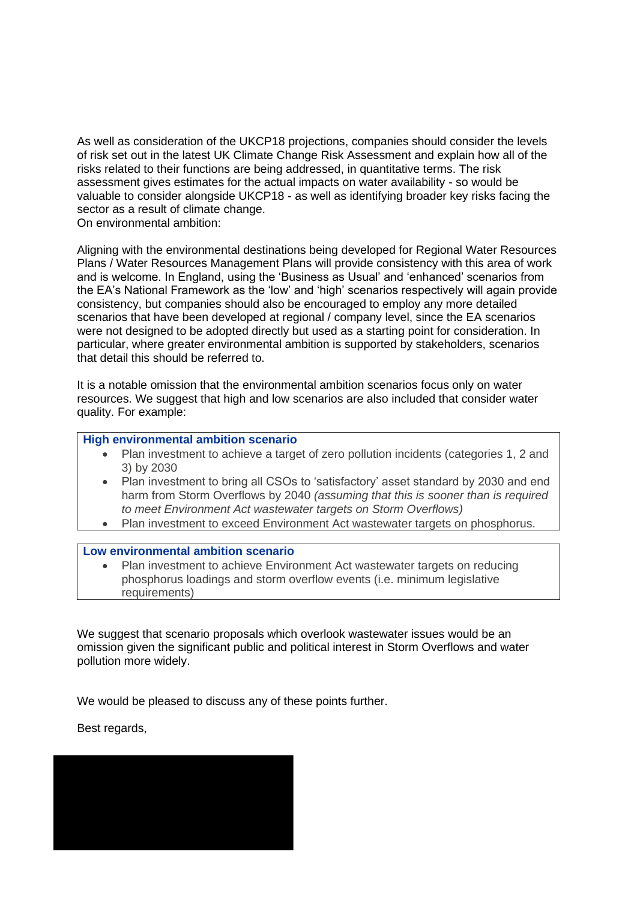As well as consideration of the UKCP18 projections, companies should consider the levels of risk set out in the latest UK Climate Change Risk Assessment and explain how all of the risks related to their functions are being addressed, in quantitative terms. The risk assessment gives estimates for the actual impacts on water availability - so would be valuable to consider alongside UKCP18 - as well as identifying broader key risks facing the sector as a result of climate change.

On environmental ambition:

Aligning with the environmental destinations being developed for Regional Water Resources Plans / Water Resources Management Plans will provide consistency with this area of work and is welcome. In England, using the 'Business as Usual' and 'enhanced' scenarios from the EA's National Framework as the 'low' and 'high' scenarios respectively will again provide consistency, but companies should also be encouraged to employ any more detailed scenarios that have been developed at regional / company level, since the EA scenarios were not designed to be adopted directly but used as a starting point for consideration. In particular, where greater environmental ambition is supported by stakeholders, scenarios that detail this should be referred to.

It is a notable omission that the environmental ambition scenarios focus only on water resources. We suggest that high and low scenarios are also included that consider water quality. For example:

## **High environmental ambition scenario**

- Plan investment to achieve a target of zero pollution incidents (categories 1, 2 and 3) by 2030
- Plan investment to bring all CSOs to 'satisfactory' asset standard by 2030 and end harm from Storm Overflows by 2040 *(assuming that this is sooner than is required to meet Environment Act wastewater targets on Storm Overflows)*
- Plan investment to exceed Environment Act wastewater targets on phosphorus.

#### **Low environmental ambition scenario**

Plan investment to achieve Environment Act wastewater targets on reducing phosphorus loadings and storm overflow events (i.e. minimum legislative requirements)

We suggest that scenario proposals which overlook wastewater issues would be an omission given the significant public and political interest in Storm Overflows and water pollution more widely.

We would be pleased to discuss any of these points further.

Best regards,